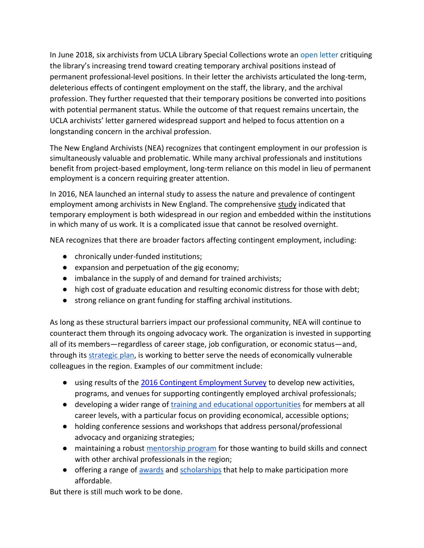In June 2018, six archivists from UCLA Library Special Collections wrote an [open letter](https://docs.google.com/document/d/1h-P7mWiUn27b2nrkk-1eMbDkqSZtk4Moxis07KcMwhI/edit) critiquing the library's increasing trend toward creating temporary archival positions instead of permanent professional-level positions. In their letter the archivists articulated the long-term, deleterious effects of contingent employment on the staff, the library, and the archival profession. They further requested that their temporary positions be converted into positions with potential permanent status. While the outcome of that request remains uncertain, the UCLA archivists' letter garnered widespread support and helped to focus attention on a longstanding concern in the archival profession.

The New England Archivists (NEA) recognizes that contingent employment in our profession is simultaneously valuable and problematic. While many archival professionals and institutions benefit from project-based employment, long-term reliance on this model in lieu of permanent employment is a concern requiring greater attention.

In 2016, NEA launched an internal study to assess the nature and prevalence of contingent employment among archivists in New England. The comprehensive [study](https://drive.google.com/file/d/1aFVWuA6zJsrTGFoPuKeU8K6SJ1Sggv2h/view) indicated that temporary employment is both widespread in our region and embedded within the institutions in which many of us work. It is a complicated issue that cannot be resolved overnight.

NEA recognizes that there are broader factors affecting contingent employment, including:

- chronically under-funded institutions;
- expansion and perpetuation of the gig economy;
- imbalance in the supply of and demand for trained archivists;
- high cost of graduate education and resulting economic distress for those with debt;
- strong reliance on grant funding for staffing archival institutions.

As long as these structural barriers impact our professional community, NEA will continue to counteract them through its ongoing advocacy work. The organization is invested in supporting all of its members—regardless of career stage, job configuration, or economic status—and, through its [strategic plan,](https://newenglandarchivists.org/resources/Documents/Policies%20and%20Procedures/2017-03_NEA_strategic-planUPDATE.pdf) is working to better serve the needs of economically vulnerable colleagues in the region. Examples of our commitment include:

- using results of the [2016 Contingent Employment Survey](https://drive.google.com/file/d/1aFVWuA6zJsrTGFoPuKeU8K6SJ1Sggv2h/view) to develop new activities, programs, and venues for supporting contingently employed archival professionals;
- developing a wider range o[f training and educational opportunities](https://newenglandarchivists.org/education) for members at all career levels, with a particular focus on providing economical, accessible options;
- holding conference sessions and workshops that address personal/professional advocacy and organizing strategies;
- maintaining a robust [mentorship program](https://newenglandarchivists.org/mentoring) for those wanting to build skills and connect with other archival professionals in the region;
- offering a range of [awards](https://newenglandarchivists.org/awards/scholarship) and [scholarships](https://newenglandarchivists.org/Meeting-Travel-and-Session-Scholarships) that help to make participation more affordable.

But there is still much work to be done.